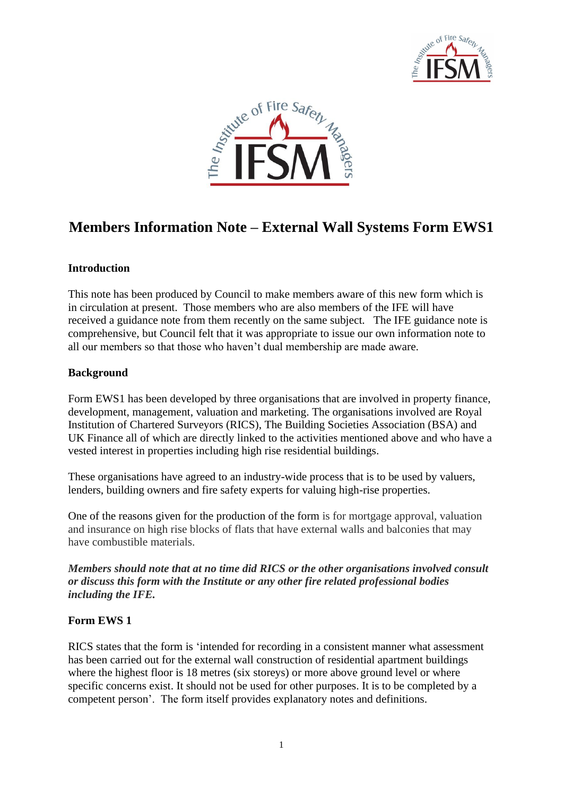



# **Members Information Note – External Wall Systems Form EWS1**

## **Introduction**

This note has been produced by Council to make members aware of this new form which is in circulation at present. Those members who are also members of the IFE will have received a guidance note from them recently on the same subject. The IFE guidance note is comprehensive, but Council felt that it was appropriate to issue our own information note to all our members so that those who haven't dual membership are made aware.

#### **Background**

Form EWS1 has been developed by three organisations that are involved in property finance, development, management, valuation and marketing. The organisations involved are Royal Institution of Chartered Surveyors (RICS), The Building Societies Association (BSA) and UK Finance all of which are directly linked to the activities mentioned above and who have a vested interest in properties including high rise residential buildings.

These organisations have agreed to an industry-wide process that is to be used by valuers, lenders, building owners and fire safety experts for valuing high-rise properties.

One of the reasons given for the production of the form is for mortgage approval, valuation and insurance on high rise blocks of flats that have external walls and balconies that may have combustible materials.

*Members should note that at no time did RICS or the other organisations involved consult or discuss this form with the Institute or any other fire related professional bodies including the IFE.*

### **Form EWS 1**

RICS states that the form is 'intended for recording in a consistent manner what assessment has been carried out for the external wall construction of residential apartment buildings where the highest floor is 18 metres (six storeys) or more above ground level or where specific concerns exist. It should not be used for other purposes. It is to be completed by a competent person'. The form itself provides explanatory notes and definitions.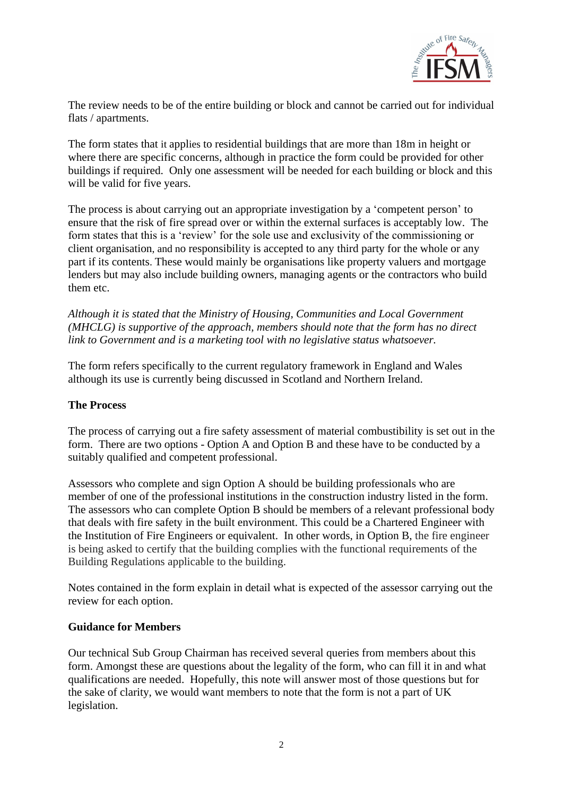

The review needs to be of the entire building or block and cannot be carried out for individual flats / apartments.

The form states that it applies to residential buildings that are more than 18m in height or where there are specific concerns, although in practice the form could be provided for other buildings if required. Only one assessment will be needed for each building or block and this will be valid for five years.

The process is about carrying out an appropriate investigation by a 'competent person' to ensure that the risk of fire spread over or within the external surfaces is acceptably low. The form states that this is a 'review' for the sole use and exclusivity of the commissioning or client organisation, and no responsibility is accepted to any third party for the whole or any part if its contents. These would mainly be organisations like property valuers and mortgage lenders but may also include building owners, managing agents or the contractors who build them etc.

*Although it is stated that the Ministry of Housing, Communities and Local Government (MHCLG) is supportive of the approach, members should note that the form has no direct link to Government and is a marketing tool with no legislative status whatsoever.*

The form refers specifically to the current regulatory framework in England and Wales although its use is currently being discussed in Scotland and Northern Ireland.

### **The Process**

The process of carrying out a fire safety assessment of material combustibility is set out in the form. There are two options - Option A and Option B and these have to be conducted by a suitably qualified and competent professional.

Assessors who complete and sign Option A should be building professionals who are member of one of the professional institutions in the construction industry listed in the form. The assessors who can complete Option B should be members of a relevant professional body that deals with fire safety in the built environment. This could be a Chartered Engineer with the Institution of Fire Engineers or equivalent. In other words, in Option B, the fire engineer is being asked to certify that the building complies with the functional requirements of the Building Regulations applicable to the building.

Notes contained in the form explain in detail what is expected of the assessor carrying out the review for each option.

#### **Guidance for Members**

Our technical Sub Group Chairman has received several queries from members about this form. Amongst these are questions about the legality of the form, who can fill it in and what qualifications are needed. Hopefully, this note will answer most of those questions but for the sake of clarity, we would want members to note that the form is not a part of UK legislation.